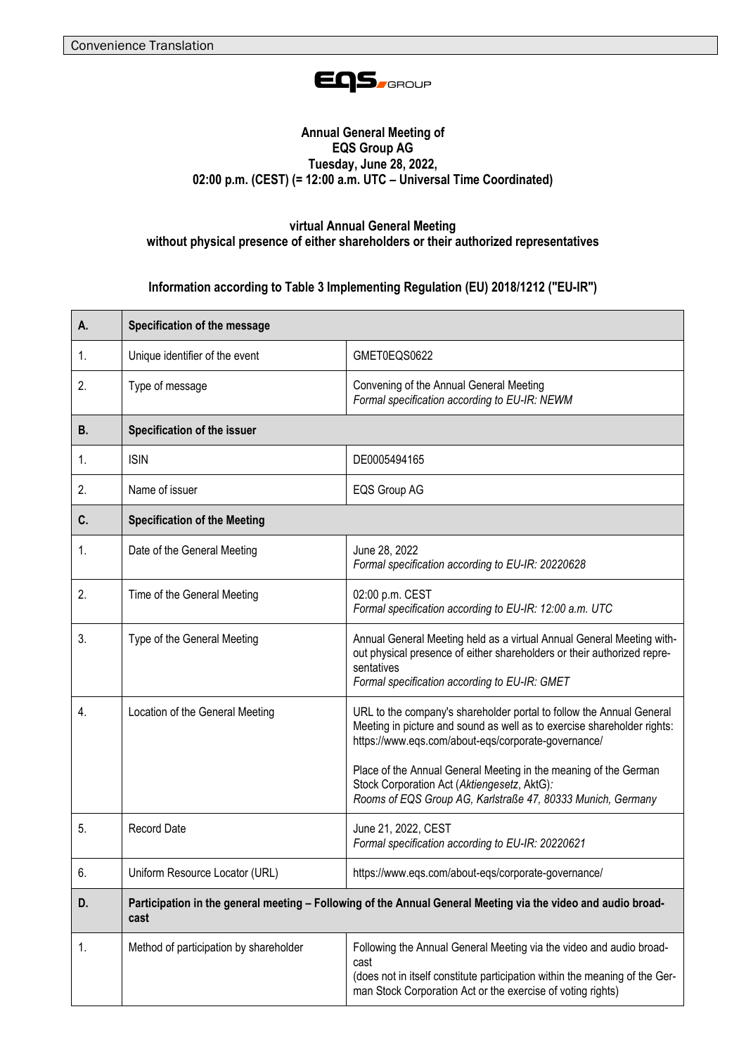

## **Annual General Meeting of EQS Group AG Tuesday, June 28, 2022, 02:00 p.m. (CEST) (= 12:00 a.m. UTC – Universal Time Coordinated)**

## **virtual Annual General Meeting without physical presence of either shareholders or their authorized representatives**

**Information according to Table 3 Implementing Regulation (EU) 2018/1212 ("EU-IR")**

| А. | Specification of the message                                                                                          |                                                                                                                                                                                                                                                                                                                                                                                          |
|----|-----------------------------------------------------------------------------------------------------------------------|------------------------------------------------------------------------------------------------------------------------------------------------------------------------------------------------------------------------------------------------------------------------------------------------------------------------------------------------------------------------------------------|
| 1. | Unique identifier of the event                                                                                        | GMET0EQS0622                                                                                                                                                                                                                                                                                                                                                                             |
| 2. | Type of message                                                                                                       | Convening of the Annual General Meeting<br>Formal specification according to EU-IR: NEWM                                                                                                                                                                                                                                                                                                 |
| В. | Specification of the issuer                                                                                           |                                                                                                                                                                                                                                                                                                                                                                                          |
| 1. | <b>ISIN</b>                                                                                                           | DE0005494165                                                                                                                                                                                                                                                                                                                                                                             |
| 2. | Name of issuer                                                                                                        | EQS Group AG                                                                                                                                                                                                                                                                                                                                                                             |
| C. | <b>Specification of the Meeting</b>                                                                                   |                                                                                                                                                                                                                                                                                                                                                                                          |
| 1. | Date of the General Meeting                                                                                           | June 28, 2022<br>Formal specification according to EU-IR: 20220628                                                                                                                                                                                                                                                                                                                       |
| 2. | Time of the General Meeting                                                                                           | 02:00 p.m. CEST<br>Formal specification according to EU-IR: 12:00 a.m. UTC                                                                                                                                                                                                                                                                                                               |
| 3. | Type of the General Meeting                                                                                           | Annual General Meeting held as a virtual Annual General Meeting with-<br>out physical presence of either shareholders or their authorized repre-<br>sentatives<br>Formal specification according to EU-IR: GMET                                                                                                                                                                          |
| 4. | Location of the General Meeting                                                                                       | URL to the company's shareholder portal to follow the Annual General<br>Meeting in picture and sound as well as to exercise shareholder rights:<br>https://www.eqs.com/about-eqs/corporate-governance/<br>Place of the Annual General Meeting in the meaning of the German<br>Stock Corporation Act (Aktiengesetz, AktG):<br>Rooms of EQS Group AG, Karlstraße 47, 80333 Munich, Germany |
| 5. | <b>Record Date</b>                                                                                                    | June 21, 2022, CEST<br>Formal specification according to EU-IR: 20220621                                                                                                                                                                                                                                                                                                                 |
| 6. | Uniform Resource Locator (URL)                                                                                        | https://www.eqs.com/about-eqs/corporate-governance/                                                                                                                                                                                                                                                                                                                                      |
| D. | Participation in the general meeting – Following of the Annual General Meeting via the video and audio broad-<br>cast |                                                                                                                                                                                                                                                                                                                                                                                          |
| 1. | Method of participation by shareholder                                                                                | Following the Annual General Meeting via the video and audio broad-<br>cast<br>(does not in itself constitute participation within the meaning of the Ger-<br>man Stock Corporation Act or the exercise of voting rights)                                                                                                                                                                |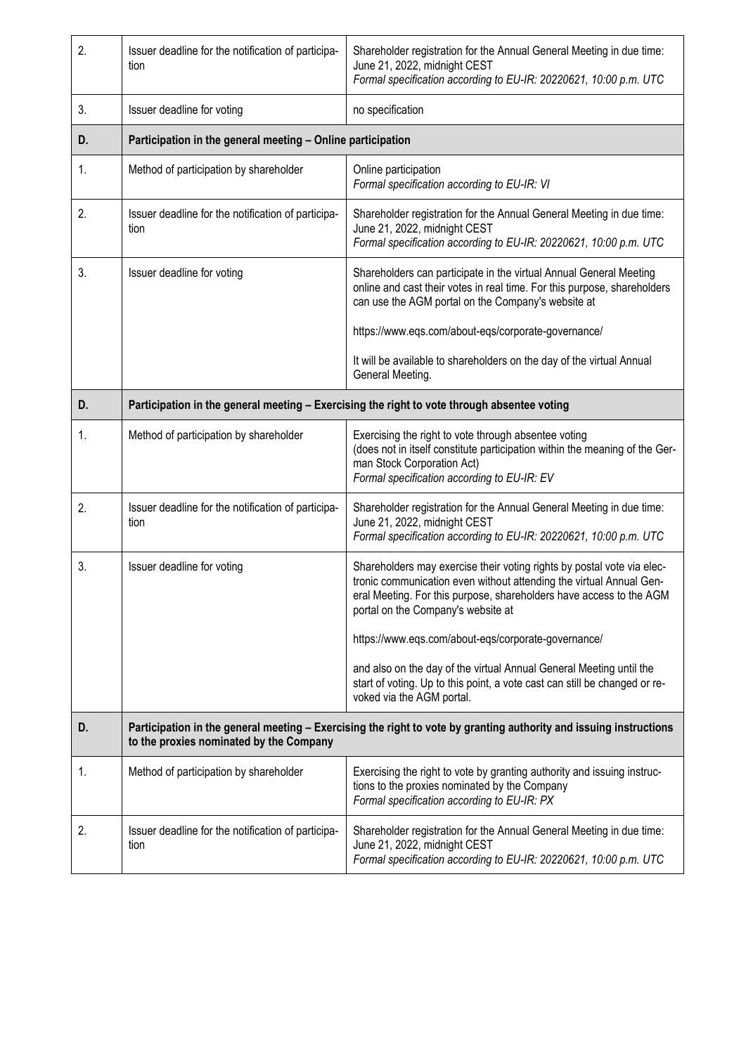| 2. | Issuer deadline for the notification of participa-<br>tion                                                                                                    | Shareholder registration for the Annual General Meeting in due time:<br>June 21, 2022, midnight CEST<br>Formal specification according to EU-IR: 20220621, 10:00 p.m. UTC                                                                                  |
|----|---------------------------------------------------------------------------------------------------------------------------------------------------------------|------------------------------------------------------------------------------------------------------------------------------------------------------------------------------------------------------------------------------------------------------------|
| 3. | Issuer deadline for voting                                                                                                                                    | no specification                                                                                                                                                                                                                                           |
| D. | Participation in the general meeting - Online participation                                                                                                   |                                                                                                                                                                                                                                                            |
| 1. | Method of participation by shareholder                                                                                                                        | Online participation<br>Formal specification according to EU-IR: VI                                                                                                                                                                                        |
| 2. | Issuer deadline for the notification of participa-<br>tion                                                                                                    | Shareholder registration for the Annual General Meeting in due time:<br>June 21, 2022, midnight CEST<br>Formal specification according to EU-IR: 20220621, 10:00 p.m. UTC                                                                                  |
| 3. | Issuer deadline for voting                                                                                                                                    | Shareholders can participate in the virtual Annual General Meeting<br>online and cast their votes in real time. For this purpose, shareholders<br>can use the AGM portal on the Company's website at                                                       |
|    |                                                                                                                                                               | https://www.eqs.com/about-eqs/corporate-governance/                                                                                                                                                                                                        |
|    |                                                                                                                                                               | It will be available to shareholders on the day of the virtual Annual<br>General Meeting.                                                                                                                                                                  |
| D. | Participation in the general meeting - Exercising the right to vote through absentee voting                                                                   |                                                                                                                                                                                                                                                            |
| 1. | Method of participation by shareholder                                                                                                                        | Exercising the right to vote through absentee voting<br>(does not in itself constitute participation within the meaning of the Ger-<br>man Stock Corporation Act)<br>Formal specification according to EU-IR: EV                                           |
| 2. | Issuer deadline for the notification of participa-<br>tion                                                                                                    | Shareholder registration for the Annual General Meeting in due time:<br>June 21, 2022, midnight CEST<br>Formal specification according to EU-IR: 20220621, 10:00 p.m. UTC                                                                                  |
| 3. | Issuer deadline for voting                                                                                                                                    | Shareholders may exercise their voting rights by postal vote via elec-<br>tronic communication even without attending the virtual Annual Gen-<br>eral Meeting. For this purpose, shareholders have access to the AGM<br>portal on the Company's website at |
|    |                                                                                                                                                               | https://www.eqs.com/about-eqs/corporate-governance/                                                                                                                                                                                                        |
|    |                                                                                                                                                               | and also on the day of the virtual Annual General Meeting until the<br>start of voting. Up to this point, a vote cast can still be changed or re-<br>voked via the AGM portal.                                                                             |
| D. | Participation in the general meeting - Exercising the right to vote by granting authority and issuing instructions<br>to the proxies nominated by the Company |                                                                                                                                                                                                                                                            |
| 1. | Method of participation by shareholder                                                                                                                        | Exercising the right to vote by granting authority and issuing instruc-<br>tions to the proxies nominated by the Company<br>Formal specification according to EU-IR: PX                                                                                    |
| 2. | Issuer deadline for the notification of participa-<br>tion                                                                                                    | Shareholder registration for the Annual General Meeting in due time:<br>June 21, 2022, midnight CEST<br>Formal specification according to EU-IR: 20220621, 10:00 p.m. UTC                                                                                  |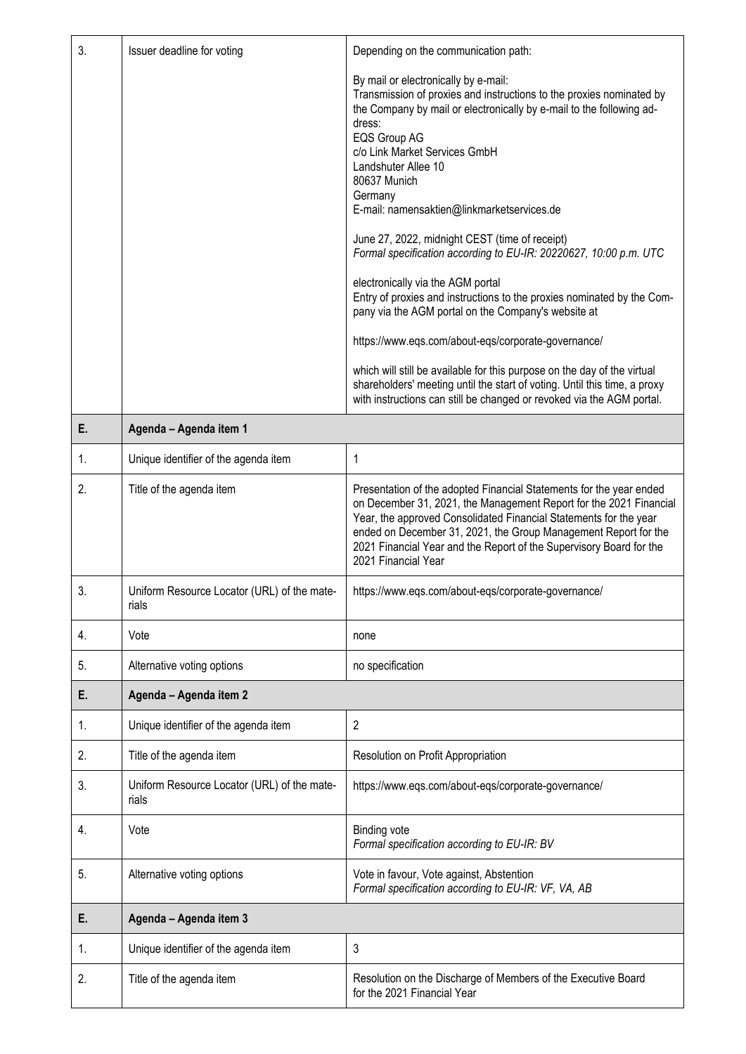| 3. | Issuer deadline for voting                           | Depending on the communication path:                                                                                                                                                                                                                                                                                                                                                                                                                                                                                                                                                                                                                                                                                                                                                                                                                         |
|----|------------------------------------------------------|--------------------------------------------------------------------------------------------------------------------------------------------------------------------------------------------------------------------------------------------------------------------------------------------------------------------------------------------------------------------------------------------------------------------------------------------------------------------------------------------------------------------------------------------------------------------------------------------------------------------------------------------------------------------------------------------------------------------------------------------------------------------------------------------------------------------------------------------------------------|
|    |                                                      | By mail or electronically by e-mail:<br>Transmission of proxies and instructions to the proxies nominated by<br>the Company by mail or electronically by e-mail to the following ad-<br>dress:<br>EQS Group AG<br>c/o Link Market Services GmbH<br>Landshuter Allee 10<br>80637 Munich<br>Germany<br>E-mail: namensaktien@linkmarketservices.de<br>June 27, 2022, midnight CEST (time of receipt)<br>Formal specification according to EU-IR: 20220627, 10:00 p.m. UTC<br>electronically via the AGM portal<br>Entry of proxies and instructions to the proxies nominated by the Com-<br>pany via the AGM portal on the Company's website at<br>https://www.eqs.com/about-eqs/corporate-governance/<br>which will still be available for this purpose on the day of the virtual<br>shareholders' meeting until the start of voting. Until this time, a proxy |
|    |                                                      | with instructions can still be changed or revoked via the AGM portal.                                                                                                                                                                                                                                                                                                                                                                                                                                                                                                                                                                                                                                                                                                                                                                                        |
| E. | Agenda - Agenda item 1                               |                                                                                                                                                                                                                                                                                                                                                                                                                                                                                                                                                                                                                                                                                                                                                                                                                                                              |
| 1. | Unique identifier of the agenda item                 | 1                                                                                                                                                                                                                                                                                                                                                                                                                                                                                                                                                                                                                                                                                                                                                                                                                                                            |
| 2. | Title of the agenda item                             | Presentation of the adopted Financial Statements for the year ended<br>on December 31, 2021, the Management Report for the 2021 Financial<br>Year, the approved Consolidated Financial Statements for the year<br>ended on December 31, 2021, the Group Management Report for the<br>2021 Financial Year and the Report of the Supervisory Board for the<br>2021 Financial Year                                                                                                                                                                                                                                                                                                                                                                                                                                                                              |
| 3. | Uniform Resource Locator (URL) of the mate-<br>rials | https://www.eqs.com/about-eqs/corporate-governance/                                                                                                                                                                                                                                                                                                                                                                                                                                                                                                                                                                                                                                                                                                                                                                                                          |
| 4. | Vote                                                 | none                                                                                                                                                                                                                                                                                                                                                                                                                                                                                                                                                                                                                                                                                                                                                                                                                                                         |
| 5. | Alternative voting options                           | no specification                                                                                                                                                                                                                                                                                                                                                                                                                                                                                                                                                                                                                                                                                                                                                                                                                                             |
| Е. | Agenda - Agenda item 2                               |                                                                                                                                                                                                                                                                                                                                                                                                                                                                                                                                                                                                                                                                                                                                                                                                                                                              |
| 1. | Unique identifier of the agenda item                 | 2                                                                                                                                                                                                                                                                                                                                                                                                                                                                                                                                                                                                                                                                                                                                                                                                                                                            |
| 2. | Title of the agenda item                             | Resolution on Profit Appropriation                                                                                                                                                                                                                                                                                                                                                                                                                                                                                                                                                                                                                                                                                                                                                                                                                           |
| 3. | Uniform Resource Locator (URL) of the mate-<br>rials | https://www.eqs.com/about-eqs/corporate-governance/                                                                                                                                                                                                                                                                                                                                                                                                                                                                                                                                                                                                                                                                                                                                                                                                          |
| 4. | Vote                                                 | <b>Binding vote</b><br>Formal specification according to EU-IR: BV                                                                                                                                                                                                                                                                                                                                                                                                                                                                                                                                                                                                                                                                                                                                                                                           |
| 5. | Alternative voting options                           | Vote in favour, Vote against, Abstention<br>Formal specification according to EU-IR: VF, VA, AB                                                                                                                                                                                                                                                                                                                                                                                                                                                                                                                                                                                                                                                                                                                                                              |
| Е. | Agenda - Agenda item 3                               |                                                                                                                                                                                                                                                                                                                                                                                                                                                                                                                                                                                                                                                                                                                                                                                                                                                              |
| 1. | Unique identifier of the agenda item                 | 3                                                                                                                                                                                                                                                                                                                                                                                                                                                                                                                                                                                                                                                                                                                                                                                                                                                            |
| 2. | Title of the agenda item                             | Resolution on the Discharge of Members of the Executive Board                                                                                                                                                                                                                                                                                                                                                                                                                                                                                                                                                                                                                                                                                                                                                                                                |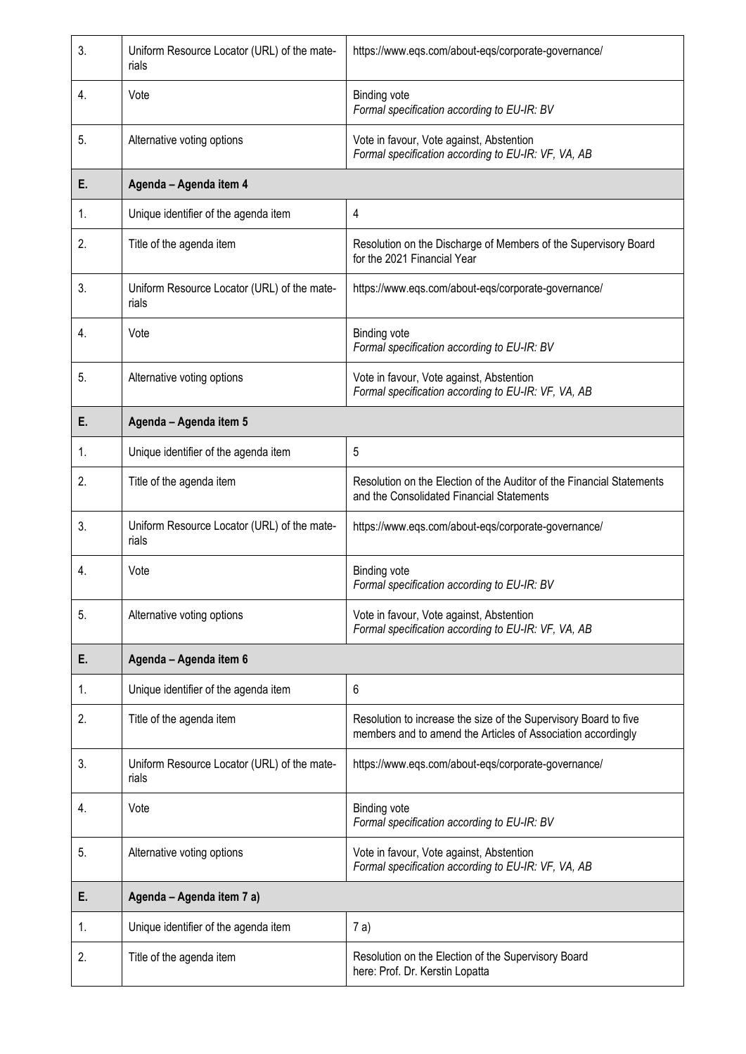| 3.             | Uniform Resource Locator (URL) of the mate-<br>rials | https://www.eqs.com/about-eqs/corporate-governance/                                                                              |
|----------------|------------------------------------------------------|----------------------------------------------------------------------------------------------------------------------------------|
| 4.             | Vote                                                 | <b>Binding vote</b><br>Formal specification according to EU-IR: BV                                                               |
| 5.             | Alternative voting options                           | Vote in favour, Vote against, Abstention<br>Formal specification according to EU-IR: VF, VA, AB                                  |
| Е.             | Agenda - Agenda item 4                               |                                                                                                                                  |
| 1.             | Unique identifier of the agenda item                 | 4                                                                                                                                |
| 2.             | Title of the agenda item                             | Resolution on the Discharge of Members of the Supervisory Board<br>for the 2021 Financial Year                                   |
| 3.             | Uniform Resource Locator (URL) of the mate-<br>rials | https://www.eqs.com/about-eqs/corporate-governance/                                                                              |
| 4.             | Vote                                                 | <b>Binding vote</b><br>Formal specification according to EU-IR: BV                                                               |
| 5.             | Alternative voting options                           | Vote in favour, Vote against, Abstention<br>Formal specification according to EU-IR: VF, VA, AB                                  |
| Е.             | Agenda - Agenda item 5                               |                                                                                                                                  |
| $\mathbf{1}$ . | Unique identifier of the agenda item                 | 5                                                                                                                                |
| 2.             | Title of the agenda item                             | Resolution on the Election of the Auditor of the Financial Statements<br>and the Consolidated Financial Statements               |
| 3.             | Uniform Resource Locator (URL) of the mate-<br>rials | https://www.eqs.com/about-eqs/corporate-governance/                                                                              |
| 4.             | Vote                                                 | <b>Binding vote</b><br>Formal specification according to EU-IR: BV                                                               |
| 5.             | Alternative voting options                           | Vote in favour, Vote against, Abstention<br>Formal specification according to EU-IR: VF, VA, AB                                  |
| Е.             | Agenda - Agenda item 6                               |                                                                                                                                  |
| 1.             | Unique identifier of the agenda item                 | 6                                                                                                                                |
| 2.             | Title of the agenda item                             | Resolution to increase the size of the Supervisory Board to five<br>members and to amend the Articles of Association accordingly |
| 3.             | Uniform Resource Locator (URL) of the mate-<br>rials | https://www.eqs.com/about-eqs/corporate-governance/                                                                              |
| 4.             | Vote                                                 | <b>Binding vote</b><br>Formal specification according to EU-IR: BV                                                               |
| 5.             | Alternative voting options                           | Vote in favour, Vote against, Abstention<br>Formal specification according to EU-IR: VF, VA, AB                                  |
| Е.             | Agenda - Agenda item 7 a)                            |                                                                                                                                  |
| 1.             | Unique identifier of the agenda item                 | 7 a)                                                                                                                             |
| 2.             | Title of the agenda item                             | Resolution on the Election of the Supervisory Board<br>here: Prof. Dr. Kerstin Lopatta                                           |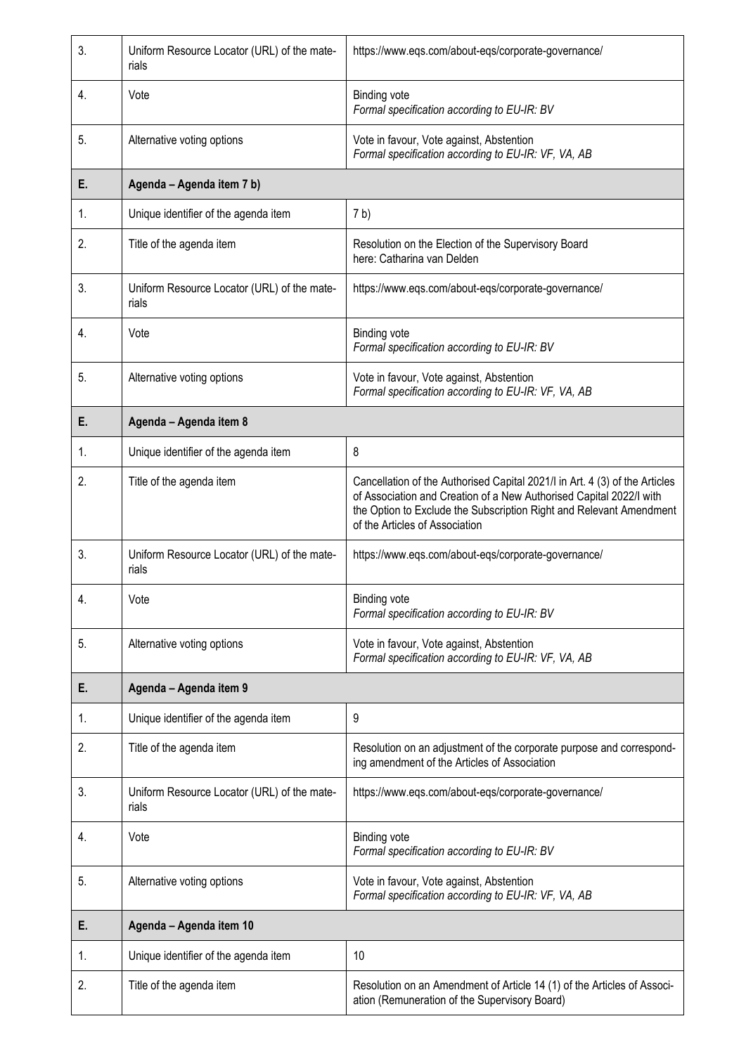| 3. | Uniform Resource Locator (URL) of the mate-<br>rials | https://www.eqs.com/about-eqs/corporate-governance/                                                                                                                                                                                                         |
|----|------------------------------------------------------|-------------------------------------------------------------------------------------------------------------------------------------------------------------------------------------------------------------------------------------------------------------|
| 4. | Vote                                                 | <b>Binding vote</b><br>Formal specification according to EU-IR: BV                                                                                                                                                                                          |
| 5. | Alternative voting options                           | Vote in favour, Vote against, Abstention<br>Formal specification according to EU-IR: VF, VA, AB                                                                                                                                                             |
| E. | Agenda - Agenda item 7 b)                            |                                                                                                                                                                                                                                                             |
| 1. | Unique identifier of the agenda item                 | 7 <sub>b</sub>                                                                                                                                                                                                                                              |
| 2. | Title of the agenda item                             | Resolution on the Election of the Supervisory Board<br>here: Catharina van Delden                                                                                                                                                                           |
| 3. | Uniform Resource Locator (URL) of the mate-<br>rials | https://www.eqs.com/about-eqs/corporate-governance/                                                                                                                                                                                                         |
| 4. | Vote                                                 | <b>Binding vote</b><br>Formal specification according to EU-IR: BV                                                                                                                                                                                          |
| 5. | Alternative voting options                           | Vote in favour, Vote against, Abstention<br>Formal specification according to EU-IR: VF, VA, AB                                                                                                                                                             |
| Е. | Agenda - Agenda item 8                               |                                                                                                                                                                                                                                                             |
| 1. | Unique identifier of the agenda item                 | 8                                                                                                                                                                                                                                                           |
| 2. | Title of the agenda item                             | Cancellation of the Authorised Capital 2021/I in Art. 4 (3) of the Articles<br>of Association and Creation of a New Authorised Capital 2022/I with<br>the Option to Exclude the Subscription Right and Relevant Amendment<br>of the Articles of Association |
| 3. | Uniform Resource Locator (URL) of the mate-<br>rials | https://www.eqs.com/about-eqs/corporate-governance/                                                                                                                                                                                                         |
| 4. | Vote                                                 | <b>Binding vote</b><br>Formal specification according to EU-IR: BV                                                                                                                                                                                          |
| 5. | Alternative voting options                           | Vote in favour, Vote against, Abstention<br>Formal specification according to EU-IR: VF, VA, AB                                                                                                                                                             |
| Е. | Agenda - Agenda item 9                               |                                                                                                                                                                                                                                                             |
| 1. | Unique identifier of the agenda item                 | 9                                                                                                                                                                                                                                                           |
| 2. | Title of the agenda item                             | Resolution on an adjustment of the corporate purpose and correspond-<br>ing amendment of the Articles of Association                                                                                                                                        |
| 3. | Uniform Resource Locator (URL) of the mate-<br>rials | https://www.eqs.com/about-eqs/corporate-governance/                                                                                                                                                                                                         |
| 4. | Vote                                                 | <b>Binding vote</b><br>Formal specification according to EU-IR: BV                                                                                                                                                                                          |
| 5. | Alternative voting options                           | Vote in favour, Vote against, Abstention<br>Formal specification according to EU-IR: VF, VA, AB                                                                                                                                                             |
| Е. | Agenda - Agenda item 10                              |                                                                                                                                                                                                                                                             |
| 1. | Unique identifier of the agenda item                 | 10                                                                                                                                                                                                                                                          |
| 2. | Title of the agenda item                             | Resolution on an Amendment of Article 14 (1) of the Articles of Associ-<br>ation (Remuneration of the Supervisory Board)                                                                                                                                    |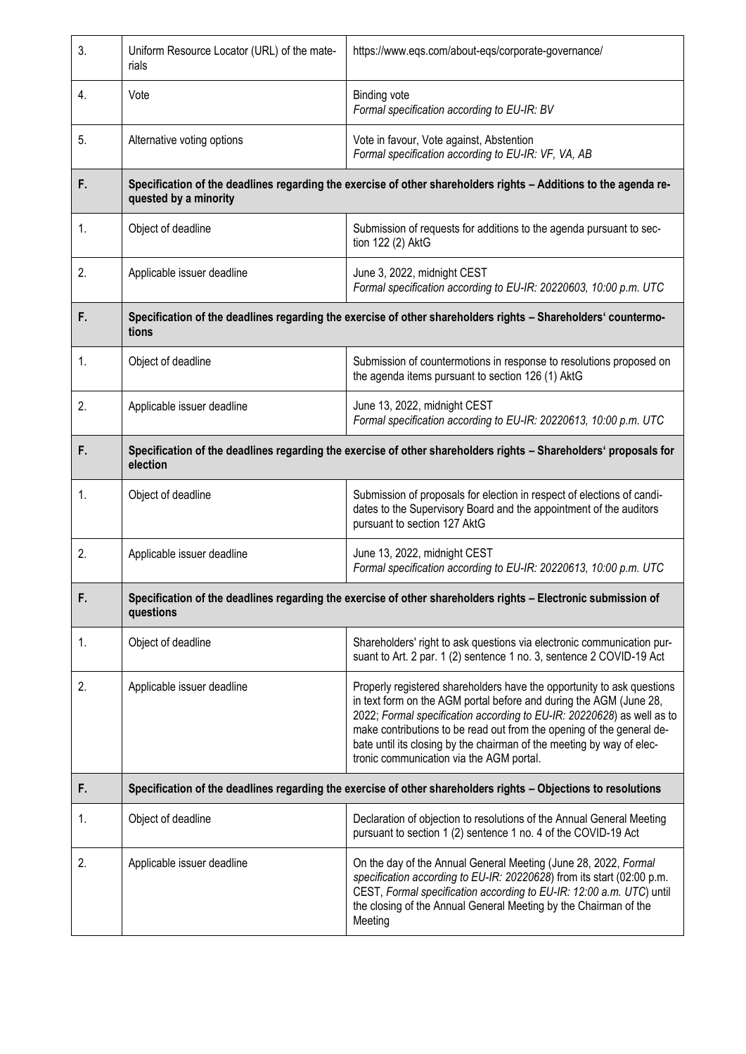| 3.             | Uniform Resource Locator (URL) of the mate-<br>rials                                                                                      | https://www.eqs.com/about-eqs/corporate-governance/                                                                                                                                                                                                                                                                                                                                                                  |
|----------------|-------------------------------------------------------------------------------------------------------------------------------------------|----------------------------------------------------------------------------------------------------------------------------------------------------------------------------------------------------------------------------------------------------------------------------------------------------------------------------------------------------------------------------------------------------------------------|
| 4.             | Vote                                                                                                                                      | <b>Binding vote</b><br>Formal specification according to EU-IR: BV                                                                                                                                                                                                                                                                                                                                                   |
| 5.             | Alternative voting options                                                                                                                | Vote in favour, Vote against, Abstention<br>Formal specification according to EU-IR: VF, VA, AB                                                                                                                                                                                                                                                                                                                      |
| F.             | Specification of the deadlines regarding the exercise of other shareholders rights - Additions to the agenda re-<br>quested by a minority |                                                                                                                                                                                                                                                                                                                                                                                                                      |
| 1.             | Object of deadline                                                                                                                        | Submission of requests for additions to the agenda pursuant to sec-<br>tion 122 (2) AktG                                                                                                                                                                                                                                                                                                                             |
| 2.             | Applicable issuer deadline                                                                                                                | June 3, 2022, midnight CEST<br>Formal specification according to EU-IR: 20220603, 10:00 p.m. UTC                                                                                                                                                                                                                                                                                                                     |
| F.             | Specification of the deadlines regarding the exercise of other shareholders rights - Shareholders' countermo-<br>tions                    |                                                                                                                                                                                                                                                                                                                                                                                                                      |
| 1.             | Object of deadline                                                                                                                        | Submission of countermotions in response to resolutions proposed on<br>the agenda items pursuant to section 126 (1) AktG                                                                                                                                                                                                                                                                                             |
| 2.             | Applicable issuer deadline                                                                                                                | June 13, 2022, midnight CEST<br>Formal specification according to EU-IR: 20220613, 10:00 p.m. UTC                                                                                                                                                                                                                                                                                                                    |
| F.             | Specification of the deadlines regarding the exercise of other shareholders rights - Shareholders' proposals for<br>election              |                                                                                                                                                                                                                                                                                                                                                                                                                      |
| $\mathbf{1}$ . | Object of deadline                                                                                                                        | Submission of proposals for election in respect of elections of candi-<br>dates to the Supervisory Board and the appointment of the auditors<br>pursuant to section 127 AktG                                                                                                                                                                                                                                         |
| 2.             | Applicable issuer deadline                                                                                                                | June 13, 2022, midnight CEST<br>Formal specification according to EU-IR: 20220613, 10:00 p.m. UTC                                                                                                                                                                                                                                                                                                                    |
|                | Specification of the deadlines regarding the exercise of other shareholders rights - Electronic submission of<br>questions                |                                                                                                                                                                                                                                                                                                                                                                                                                      |
| 1.             | Object of deadline                                                                                                                        | Shareholders' right to ask questions via electronic communication pur-<br>suant to Art. 2 par. 1 (2) sentence 1 no. 3, sentence 2 COVID-19 Act                                                                                                                                                                                                                                                                       |
| 2.             | Applicable issuer deadline                                                                                                                | Properly registered shareholders have the opportunity to ask questions<br>in text form on the AGM portal before and during the AGM (June 28,<br>2022; Formal specification according to EU-IR: 20220628) as well as to<br>make contributions to be read out from the opening of the general de-<br>bate until its closing by the chairman of the meeting by way of elec-<br>tronic communication via the AGM portal. |
| F.             | Specification of the deadlines regarding the exercise of other shareholders rights - Objections to resolutions                            |                                                                                                                                                                                                                                                                                                                                                                                                                      |
| 1.             | Object of deadline                                                                                                                        | Declaration of objection to resolutions of the Annual General Meeting<br>pursuant to section 1 (2) sentence 1 no. 4 of the COVID-19 Act                                                                                                                                                                                                                                                                              |
| 2.             | Applicable issuer deadline                                                                                                                | On the day of the Annual General Meeting (June 28, 2022, Formal<br>specification according to EU-IR: 20220628) from its start (02:00 p.m.<br>CEST, Formal specification according to EU-IR: 12:00 a.m. UTC) until<br>the closing of the Annual General Meeting by the Chairman of the<br>Meeting                                                                                                                     |